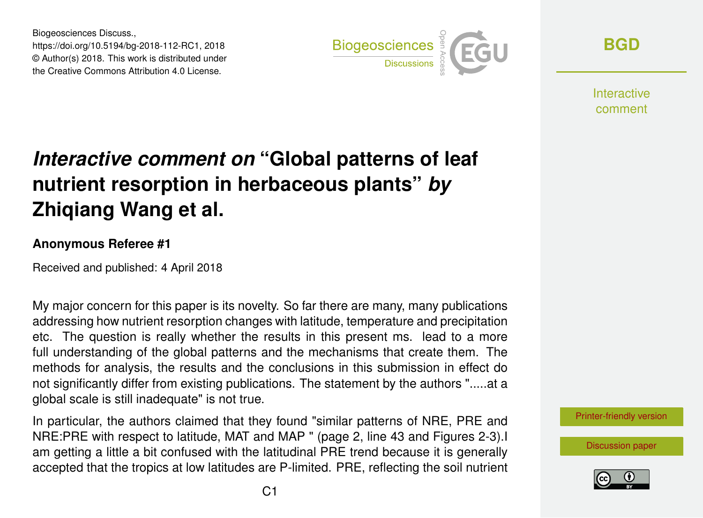Biogeosciences Discuss., https://doi.org/10.5194/bg-2018-112-RC1, 2018 © Author(s) 2018. This work is distributed under the Creative Commons Attribution 4.0 License.



**[BGD](https://www.biogeosciences-discuss.net/)**

**Interactive** comment

## *Interactive comment on* **"Global patterns of leaf nutrient resorption in herbaceous plants"** *by* **Zhiqiang Wang et al.**

## **Anonymous Referee #1**

Received and published: 4 April 2018

My major concern for this paper is its novelty. So far there are many, many publications addressing how nutrient resorption changes with latitude, temperature and precipitation etc. The question is really whether the results in this present ms. lead to a more full understanding of the global patterns and the mechanisms that create them. The methods for analysis, the results and the conclusions in this submission in effect do not significantly differ from existing publications. The statement by the authors ".....at a global scale is still inadequate" is not true.

In particular, the authors claimed that they found "similar patterns of NRE, PRE and NRE:PRE with respect to latitude, MAT and MAP " (page 2, line 43 and Figures 2-3).I am getting a little a bit confused with the latitudinal PRE trend because it is generally accepted that the tropics at low latitudes are P-limited. PRE, reflecting the soil nutrient [Printer-friendly version](https://www.biogeosciences-discuss.net/bg-2018-112/bg-2018-112-RC1-print.pdf)

[Discussion paper](https://www.biogeosciences-discuss.net/bg-2018-112)

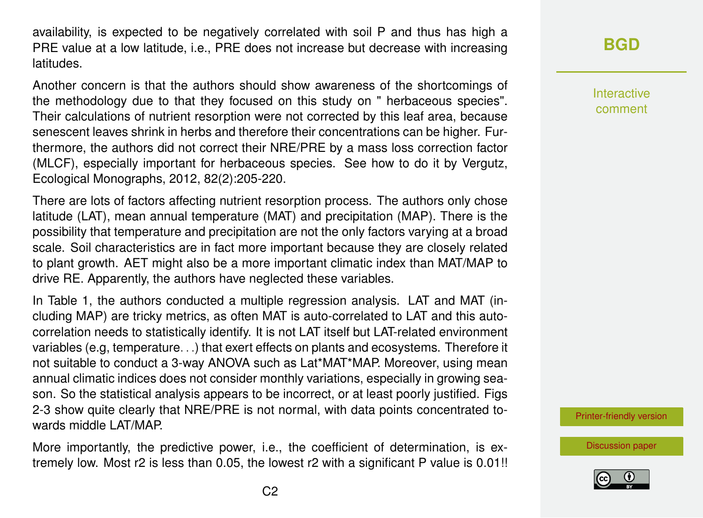availability, is expected to be negatively correlated with soil P and thus has high a PRE value at a low latitude, i.e., PRE does not increase but decrease with increasing latitudes.

Another concern is that the authors should show awareness of the shortcomings of the methodology due to that they focused on this study on " herbaceous species". Their calculations of nutrient resorption were not corrected by this leaf area, because senescent leaves shrink in herbs and therefore their concentrations can be higher. Furthermore, the authors did not correct their NRE/PRE by a mass loss correction factor (MLCF), especially important for herbaceous species. See how to do it by Vergutz, Ecological Monographs, 2012, 82(2):205-220.

There are lots of factors affecting nutrient resorption process. The authors only chose latitude (LAT), mean annual temperature (MAT) and precipitation (MAP). There is the possibility that temperature and precipitation are not the only factors varying at a broad scale. Soil characteristics are in fact more important because they are closely related to plant growth. AET might also be a more important climatic index than MAT/MAP to drive RE. Apparently, the authors have neglected these variables.

In Table 1, the authors conducted a multiple regression analysis. LAT and MAT (including MAP) are tricky metrics, as often MAT is auto-correlated to LAT and this autocorrelation needs to statistically identify. It is not LAT itself but LAT-related environment variables (e.g, temperature. . .) that exert effects on plants and ecosystems. Therefore it not suitable to conduct a 3-way ANOVA such as Lat\*MAT\*MAP. Moreover, using mean annual climatic indices does not consider monthly variations, especially in growing season. So the statistical analysis appears to be incorrect, or at least poorly justified. Figs 2-3 show quite clearly that NRE/PRE is not normal, with data points concentrated towards middle LAT/MAP.

More importantly, the predictive power, i.e., the coefficient of determination, is extremely low. Most r2 is less than 0.05, the lowest r2 with a significant P value is 0.01!! **[BGD](https://www.biogeosciences-discuss.net/)**

Interactive comment

[Printer-friendly version](https://www.biogeosciences-discuss.net/bg-2018-112/bg-2018-112-RC1-print.pdf)

[Discussion paper](https://www.biogeosciences-discuss.net/bg-2018-112)